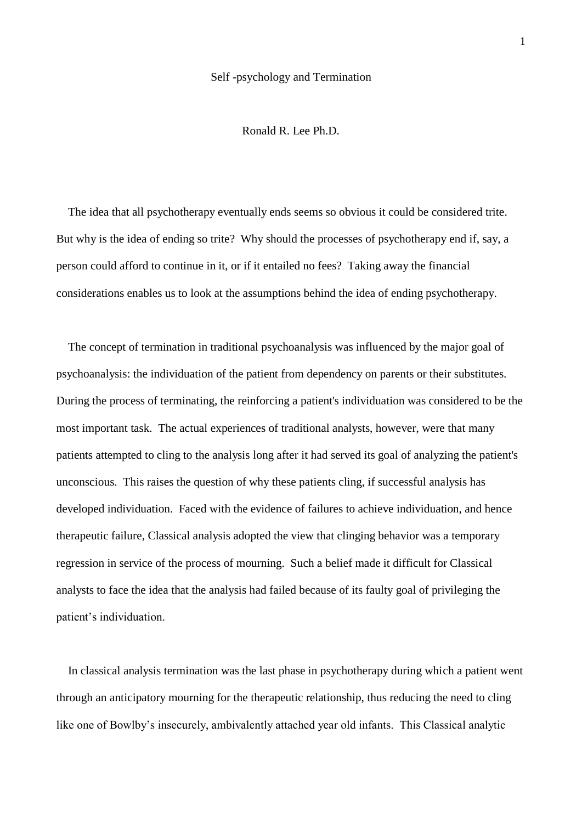## Self -psychology and Termination

Ronald R. Lee Ph.D.

 The idea that all psychotherapy eventually ends seems so obvious it could be considered trite. But why is the idea of ending so trite? Why should the processes of psychotherapy end if, say, a person could afford to continue in it, or if it entailed no fees? Taking away the financial considerations enables us to look at the assumptions behind the idea of ending psychotherapy.

 The concept of termination in traditional psychoanalysis was influenced by the major goal of psychoanalysis: the individuation of the patient from dependency on parents or their substitutes. During the process of terminating, the reinforcing a patient's individuation was considered to be the most important task. The actual experiences of traditional analysts, however, were that many patients attempted to cling to the analysis long after it had served its goal of analyzing the patient's unconscious. This raises the question of why these patients cling, if successful analysis has developed individuation. Faced with the evidence of failures to achieve individuation, and hence therapeutic failure, Classical analysis adopted the view that clinging behavior was a temporary regression in service of the process of mourning. Such a belief made it difficult for Classical analysts to face the idea that the analysis had failed because of its faulty goal of privileging the patient's individuation.

 In classical analysis termination was the last phase in psychotherapy during which a patient went through an anticipatory mourning for the therapeutic relationship, thus reducing the need to cling like one of Bowlby's insecurely, ambivalently attached year old infants. This Classical analytic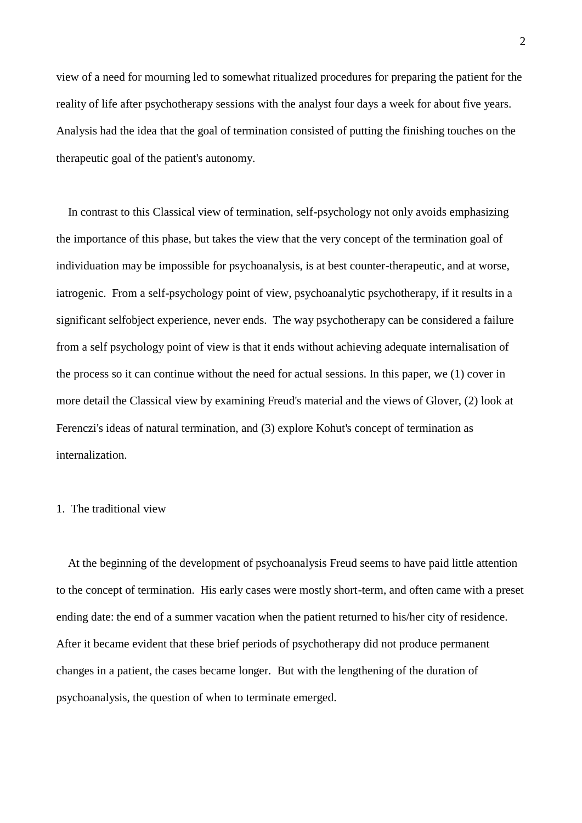view of a need for mourning led to somewhat ritualized procedures for preparing the patient for the reality of life after psychotherapy sessions with the analyst four days a week for about five years. Analysis had the idea that the goal of termination consisted of putting the finishing touches on the therapeutic goal of the patient's autonomy.

 In contrast to this Classical view of termination, self-psychology not only avoids emphasizing the importance of this phase, but takes the view that the very concept of the termination goal of individuation may be impossible for psychoanalysis, is at best counter-therapeutic, and at worse, iatrogenic. From a self-psychology point of view, psychoanalytic psychotherapy, if it results in a significant selfobject experience, never ends. The way psychotherapy can be considered a failure from a self psychology point of view is that it ends without achieving adequate internalisation of the process so it can continue without the need for actual sessions. In this paper, we (1) cover in more detail the Classical view by examining Freud's material and the views of Glover, (2) look at Ferenczi's ideas of natural termination, and (3) explore Kohut's concept of termination as internalization.

## 1. The traditional view

 At the beginning of the development of psychoanalysis Freud seems to have paid little attention to the concept of termination. His early cases were mostly short-term, and often came with a preset ending date: the end of a summer vacation when the patient returned to his/her city of residence. After it became evident that these brief periods of psychotherapy did not produce permanent changes in a patient, the cases became longer. But with the lengthening of the duration of psychoanalysis, the question of when to terminate emerged.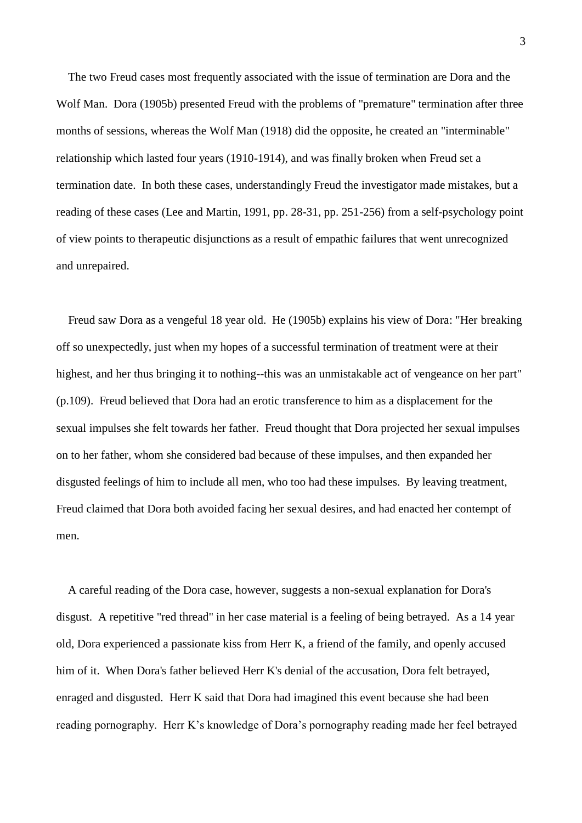The two Freud cases most frequently associated with the issue of termination are Dora and the Wolf Man. Dora (1905b) presented Freud with the problems of "premature" termination after three months of sessions, whereas the Wolf Man (1918) did the opposite, he created an "interminable" relationship which lasted four years (1910-1914), and was finally broken when Freud set a termination date. In both these cases, understandingly Freud the investigator made mistakes, but a reading of these cases (Lee and Martin, 1991, pp. 28-31, pp. 251-256) from a self-psychology point of view points to therapeutic disjunctions as a result of empathic failures that went unrecognized and unrepaired.

 Freud saw Dora as a vengeful 18 year old. He (1905b) explains his view of Dora: "Her breaking off so unexpectedly, just when my hopes of a successful termination of treatment were at their highest, and her thus bringing it to nothing--this was an unmistakable act of vengeance on her part" (p.109). Freud believed that Dora had an erotic transference to him as a displacement for the sexual impulses she felt towards her father. Freud thought that Dora projected her sexual impulses on to her father, whom she considered bad because of these impulses, and then expanded her disgusted feelings of him to include all men, who too had these impulses. By leaving treatment, Freud claimed that Dora both avoided facing her sexual desires, and had enacted her contempt of men.

 A careful reading of the Dora case, however, suggests a non-sexual explanation for Dora's disgust. A repetitive "red thread" in her case material is a feeling of being betrayed. As a 14 year old, Dora experienced a passionate kiss from Herr K, a friend of the family, and openly accused him of it. When Dora's father believed Herr K's denial of the accusation, Dora felt betrayed, enraged and disgusted. Herr K said that Dora had imagined this event because she had been reading pornography. Herr K's knowledge of Dora's pornography reading made her feel betrayed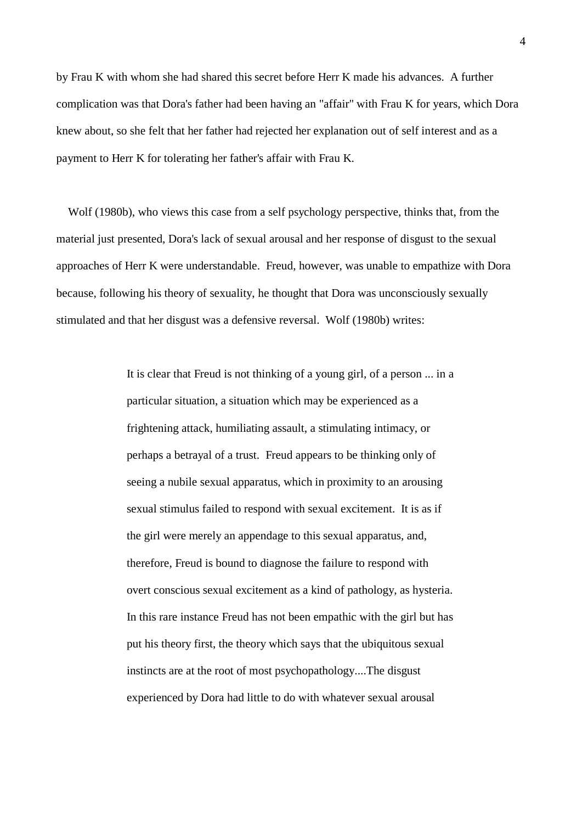by Frau K with whom she had shared this secret before Herr K made his advances. A further complication was that Dora's father had been having an "affair" with Frau K for years, which Dora knew about, so she felt that her father had rejected her explanation out of self interest and as a payment to Herr K for tolerating her father's affair with Frau K.

 Wolf (1980b), who views this case from a self psychology perspective, thinks that, from the material just presented, Dora's lack of sexual arousal and her response of disgust to the sexual approaches of Herr K were understandable. Freud, however, was unable to empathize with Dora because, following his theory of sexuality, he thought that Dora was unconsciously sexually stimulated and that her disgust was a defensive reversal. Wolf (1980b) writes:

> It is clear that Freud is not thinking of a young girl, of a person ... in a particular situation, a situation which may be experienced as a frightening attack, humiliating assault, a stimulating intimacy, or perhaps a betrayal of a trust. Freud appears to be thinking only of seeing a nubile sexual apparatus, which in proximity to an arousing sexual stimulus failed to respond with sexual excitement. It is as if the girl were merely an appendage to this sexual apparatus, and, therefore, Freud is bound to diagnose the failure to respond with overt conscious sexual excitement as a kind of pathology, as hysteria. In this rare instance Freud has not been empathic with the girl but has put his theory first, the theory which says that the ubiquitous sexual instincts are at the root of most psychopathology....The disgust experienced by Dora had little to do with whatever sexual arousal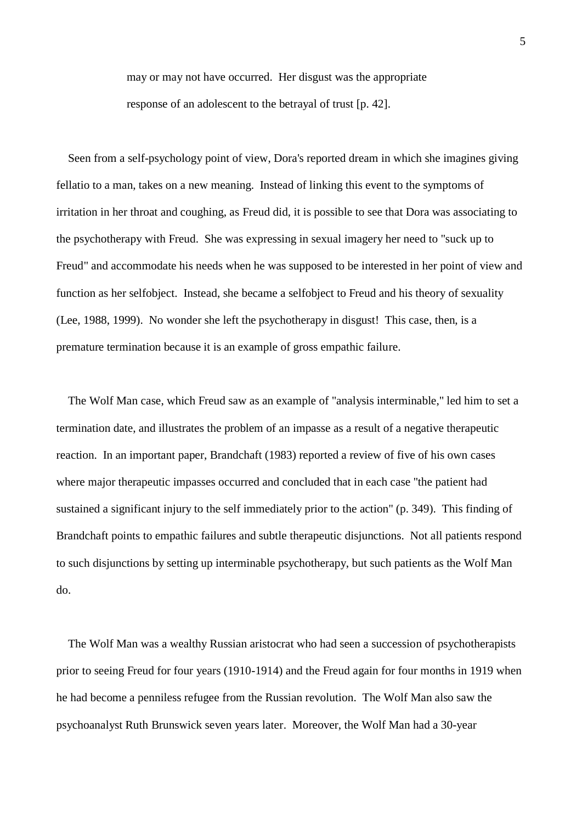may or may not have occurred. Her disgust was the appropriate response of an adolescent to the betrayal of trust [p. 42].

 Seen from a self-psychology point of view, Dora's reported dream in which she imagines giving fellatio to a man, takes on a new meaning. Instead of linking this event to the symptoms of irritation in her throat and coughing, as Freud did, it is possible to see that Dora was associating to the psychotherapy with Freud. She was expressing in sexual imagery her need to "suck up to Freud" and accommodate his needs when he was supposed to be interested in her point of view and function as her selfobject. Instead, she became a selfobject to Freud and his theory of sexuality (Lee, 1988, 1999). No wonder she left the psychotherapy in disgust! This case, then, is a premature termination because it is an example of gross empathic failure.

 The Wolf Man case, which Freud saw as an example of "analysis interminable," led him to set a termination date, and illustrates the problem of an impasse as a result of a negative therapeutic reaction. In an important paper, Brandchaft (1983) reported a review of five of his own cases where major therapeutic impasses occurred and concluded that in each case "the patient had sustained a significant injury to the self immediately prior to the action" (p. 349). This finding of Brandchaft points to empathic failures and subtle therapeutic disjunctions. Not all patients respond to such disjunctions by setting up interminable psychotherapy, but such patients as the Wolf Man do.

 The Wolf Man was a wealthy Russian aristocrat who had seen a succession of psychotherapists prior to seeing Freud for four years (1910-1914) and the Freud again for four months in 1919 when he had become a penniless refugee from the Russian revolution. The Wolf Man also saw the psychoanalyst Ruth Brunswick seven years later. Moreover, the Wolf Man had a 30-year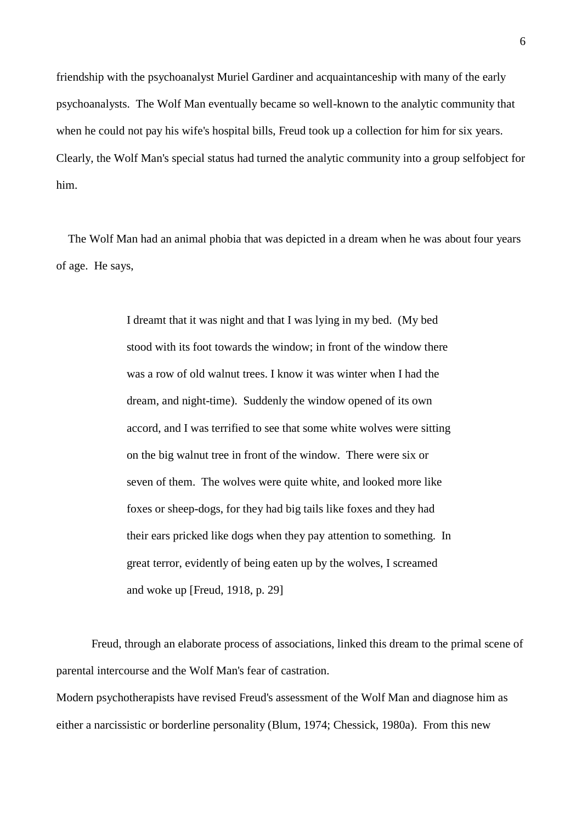friendship with the psychoanalyst Muriel Gardiner and acquaintanceship with many of the early psychoanalysts. The Wolf Man eventually became so well-known to the analytic community that when he could not pay his wife's hospital bills, Freud took up a collection for him for six years. Clearly, the Wolf Man's special status had turned the analytic community into a group selfobject for him.

 The Wolf Man had an animal phobia that was depicted in a dream when he was about four years of age. He says,

> I dreamt that it was night and that I was lying in my bed. (My bed stood with its foot towards the window; in front of the window there was a row of old walnut trees. I know it was winter when I had the dream, and night-time). Suddenly the window opened of its own accord, and I was terrified to see that some white wolves were sitting on the big walnut tree in front of the window. There were six or seven of them. The wolves were quite white, and looked more like foxes or sheep-dogs, for they had big tails like foxes and they had their ears pricked like dogs when they pay attention to something. In great terror, evidently of being eaten up by the wolves, I screamed and woke up [Freud, 1918, p. 29]

Freud, through an elaborate process of associations, linked this dream to the primal scene of parental intercourse and the Wolf Man's fear of castration.

Modern psychotherapists have revised Freud's assessment of the Wolf Man and diagnose him as either a narcissistic or borderline personality (Blum, 1974; Chessick, 1980a). From this new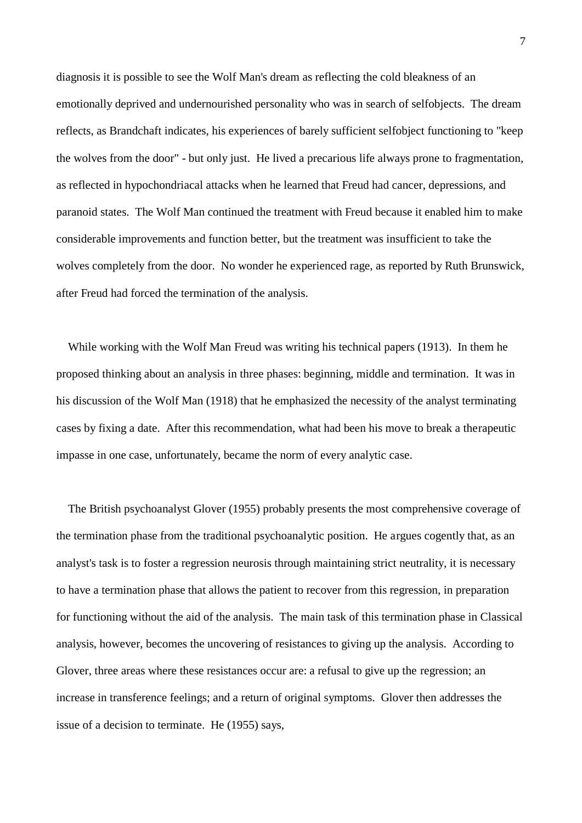diagnosis it is possible to see the Wolf Man's dream as reflecting the cold bleakness of an emotionally deprived and undernourished personality who was in search of selfobjects. The dream reflects, as Brandchaft indicates, his experiences of barely sufficient selfobject functioning to "keep the wolves from the door" - but only just. He lived a precarious life always prone to fragmentation, as reflected in hypochondriacal attacks when he learned that Freud had cancer, depressions, and paranoid states. The Wolf Man continued the treatment with Freud because it enabled him to make considerable improvements and function better, but the treatment was insufficient to take the wolves completely from the door. No wonder he experienced rage, as reported by Ruth Brunswick, after Freud had forced the termination of the analysis.

 While working with the Wolf Man Freud was writing his technical papers (1913). In them he proposed thinking about an analysis in three phases: beginning, middle and termination. It was in his discussion of the Wolf Man (1918) that he emphasized the necessity of the analyst terminating cases by fixing a date. After this recommendation, what had been his move to break a therapeutic impasse in one case, unfortunately, became the norm of every analytic case.

 The British psychoanalyst Glover (1955) probably presents the most comprehensive coverage of the termination phase from the traditional psychoanalytic position. He argues cogently that, as an analyst's task is to foster a regression neurosis through maintaining strict neutrality, it is necessary to have a termination phase that allows the patient to recover from this regression, in preparation for functioning without the aid of the analysis. The main task of this termination phase in Classical analysis, however, becomes the uncovering of resistances to giving up the analysis. According to Glover, three areas where these resistances occur are: a refusal to give up the regression; an increase in transference feelings; and a return of original symptoms. Glover then addresses the issue of a decision to terminate. He (1955) says,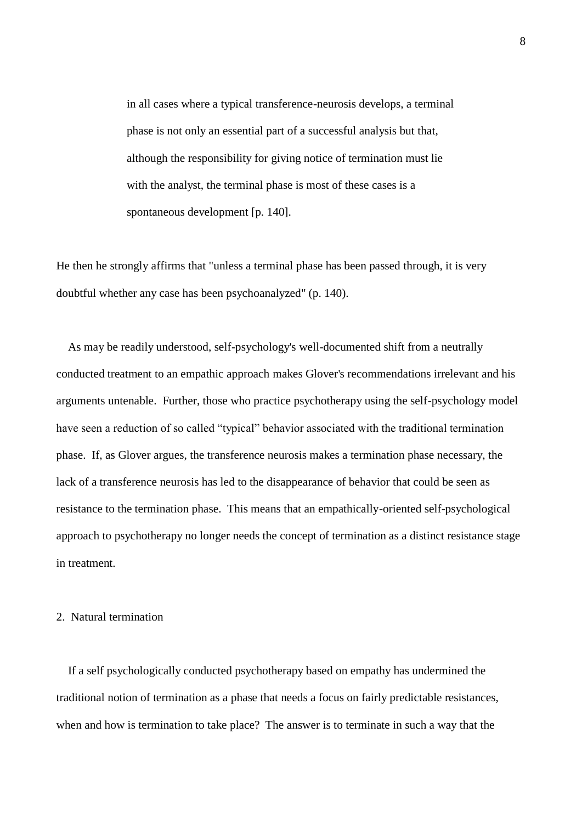in all cases where a typical transference-neurosis develops, a terminal phase is not only an essential part of a successful analysis but that, although the responsibility for giving notice of termination must lie with the analyst, the terminal phase is most of these cases is a spontaneous development [p. 140].

He then he strongly affirms that "unless a terminal phase has been passed through, it is very doubtful whether any case has been psychoanalyzed" (p. 140).

 As may be readily understood, self-psychology's well-documented shift from a neutrally conducted treatment to an empathic approach makes Glover's recommendations irrelevant and his arguments untenable. Further, those who practice psychotherapy using the self-psychology model have seen a reduction of so called "typical" behavior associated with the traditional termination phase. If, as Glover argues, the transference neurosis makes a termination phase necessary, the lack of a transference neurosis has led to the disappearance of behavior that could be seen as resistance to the termination phase. This means that an empathically-oriented self-psychological approach to psychotherapy no longer needs the concept of termination as a distinct resistance stage in treatment.

## 2. Natural termination

 If a self psychologically conducted psychotherapy based on empathy has undermined the traditional notion of termination as a phase that needs a focus on fairly predictable resistances, when and how is termination to take place? The answer is to terminate in such a way that the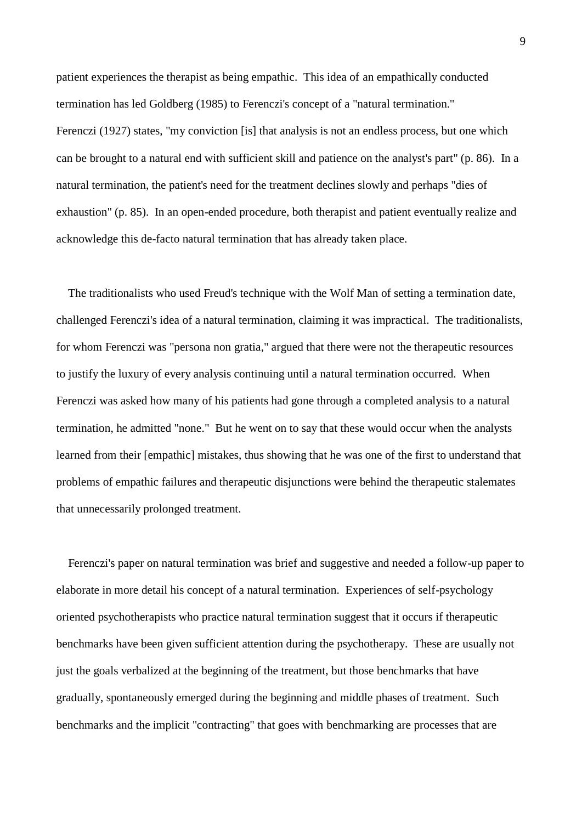patient experiences the therapist as being empathic. This idea of an empathically conducted termination has led Goldberg (1985) to Ferenczi's concept of a "natural termination." Ferenczi (1927) states, "my conviction [is] that analysis is not an endless process, but one which can be brought to a natural end with sufficient skill and patience on the analyst's part" (p. 86). In a natural termination, the patient's need for the treatment declines slowly and perhaps "dies of exhaustion" (p. 85). In an open-ended procedure, both therapist and patient eventually realize and acknowledge this de-facto natural termination that has already taken place.

 The traditionalists who used Freud's technique with the Wolf Man of setting a termination date, challenged Ferenczi's idea of a natural termination, claiming it was impractical. The traditionalists, for whom Ferenczi was "persona non gratia," argued that there were not the therapeutic resources to justify the luxury of every analysis continuing until a natural termination occurred. When Ferenczi was asked how many of his patients had gone through a completed analysis to a natural termination, he admitted "none." But he went on to say that these would occur when the analysts learned from their [empathic] mistakes, thus showing that he was one of the first to understand that problems of empathic failures and therapeutic disjunctions were behind the therapeutic stalemates that unnecessarily prolonged treatment.

 Ferenczi's paper on natural termination was brief and suggestive and needed a follow-up paper to elaborate in more detail his concept of a natural termination. Experiences of self-psychology oriented psychotherapists who practice natural termination suggest that it occurs if therapeutic benchmarks have been given sufficient attention during the psychotherapy. These are usually not just the goals verbalized at the beginning of the treatment, but those benchmarks that have gradually, spontaneously emerged during the beginning and middle phases of treatment. Such benchmarks and the implicit "contracting" that goes with benchmarking are processes that are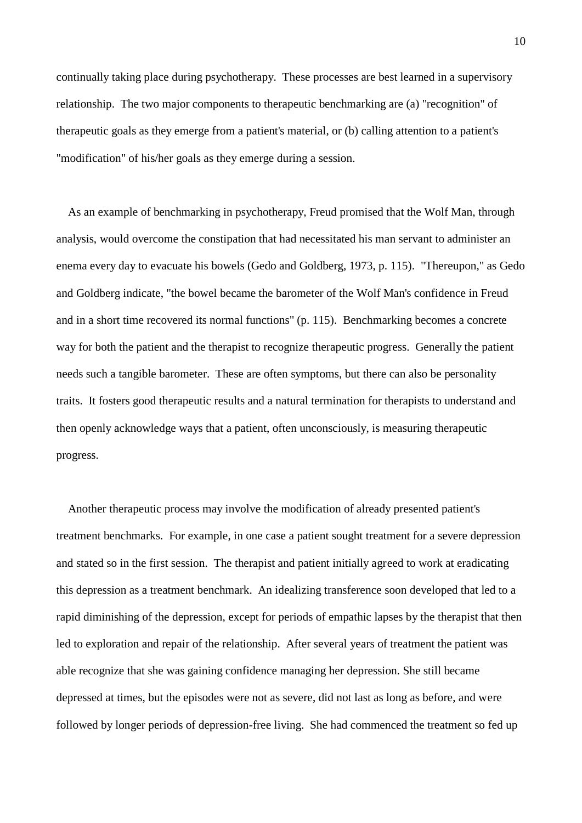continually taking place during psychotherapy. These processes are best learned in a supervisory relationship. The two major components to therapeutic benchmarking are (a) "recognition" of therapeutic goals as they emerge from a patient's material, or (b) calling attention to a patient's "modification" of his/her goals as they emerge during a session.

 As an example of benchmarking in psychotherapy, Freud promised that the Wolf Man, through analysis, would overcome the constipation that had necessitated his man servant to administer an enema every day to evacuate his bowels (Gedo and Goldberg, 1973, p. 115). "Thereupon," as Gedo and Goldberg indicate, "the bowel became the barometer of the Wolf Man's confidence in Freud and in a short time recovered its normal functions" (p. 115). Benchmarking becomes a concrete way for both the patient and the therapist to recognize therapeutic progress. Generally the patient needs such a tangible barometer. These are often symptoms, but there can also be personality traits. It fosters good therapeutic results and a natural termination for therapists to understand and then openly acknowledge ways that a patient, often unconsciously, is measuring therapeutic progress.

 Another therapeutic process may involve the modification of already presented patient's treatment benchmarks. For example, in one case a patient sought treatment for a severe depression and stated so in the first session. The therapist and patient initially agreed to work at eradicating this depression as a treatment benchmark. An idealizing transference soon developed that led to a rapid diminishing of the depression, except for periods of empathic lapses by the therapist that then led to exploration and repair of the relationship. After several years of treatment the patient was able recognize that she was gaining confidence managing her depression. She still became depressed at times, but the episodes were not as severe, did not last as long as before, and were followed by longer periods of depression-free living. She had commenced the treatment so fed up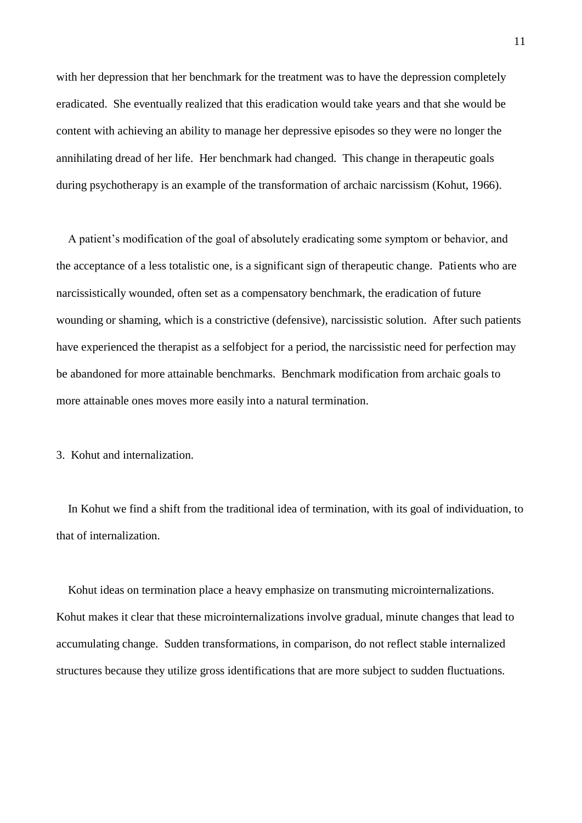with her depression that her benchmark for the treatment was to have the depression completely eradicated. She eventually realized that this eradication would take years and that she would be content with achieving an ability to manage her depressive episodes so they were no longer the annihilating dread of her life. Her benchmark had changed. This change in therapeutic goals during psychotherapy is an example of the transformation of archaic narcissism (Kohut, 1966).

 A patient's modification of the goal of absolutely eradicating some symptom or behavior, and the acceptance of a less totalistic one, is a significant sign of therapeutic change. Patients who are narcissistically wounded, often set as a compensatory benchmark, the eradication of future wounding or shaming, which is a constrictive (defensive), narcissistic solution. After such patients have experienced the therapist as a selfobject for a period, the narcissistic need for perfection may be abandoned for more attainable benchmarks. Benchmark modification from archaic goals to more attainable ones moves more easily into a natural termination.

3. Kohut and internalization.

 In Kohut we find a shift from the traditional idea of termination, with its goal of individuation, to that of internalization.

Kohut ideas on termination place a heavy emphasize on transmuting microinternalizations. Kohut makes it clear that these microinternalizations involve gradual, minute changes that lead to accumulating change. Sudden transformations, in comparison, do not reflect stable internalized structures because they utilize gross identifications that are more subject to sudden fluctuations.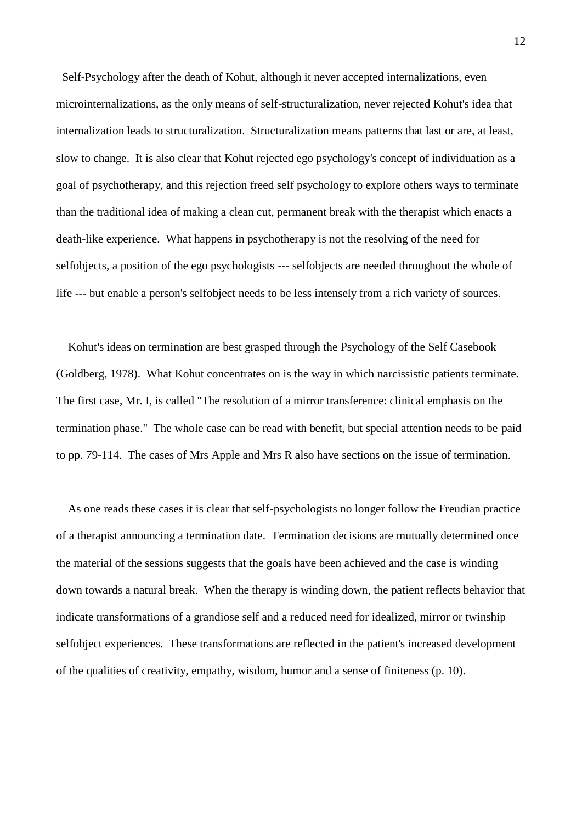Self-Psychology after the death of Kohut, although it never accepted internalizations, even microinternalizations, as the only means of self-structuralization, never rejected Kohut's idea that internalization leads to structuralization. Structuralization means patterns that last or are, at least, slow to change. It is also clear that Kohut rejected ego psychology's concept of individuation as a goal of psychotherapy, and this rejection freed self psychology to explore others ways to terminate than the traditional idea of making a clean cut, permanent break with the therapist which enacts a death-like experience. What happens in psychotherapy is not the resolving of the need for selfobjects, a position of the ego psychologists --- selfobjects are needed throughout the whole of life --- but enable a person's selfobject needs to be less intensely from a rich variety of sources.

 Kohut's ideas on termination are best grasped through the Psychology of the Self Casebook (Goldberg, 1978). What Kohut concentrates on is the way in which narcissistic patients terminate. The first case, Mr. I, is called "The resolution of a mirror transference: clinical emphasis on the termination phase." The whole case can be read with benefit, but special attention needs to be paid to pp. 79-114. The cases of Mrs Apple and Mrs R also have sections on the issue of termination.

 As one reads these cases it is clear that self-psychologists no longer follow the Freudian practice of a therapist announcing a termination date. Termination decisions are mutually determined once the material of the sessions suggests that the goals have been achieved and the case is winding down towards a natural break. When the therapy is winding down, the patient reflects behavior that indicate transformations of a grandiose self and a reduced need for idealized, mirror or twinship selfobject experiences. These transformations are reflected in the patient's increased development of the qualities of creativity, empathy, wisdom, humor and a sense of finiteness (p. 10).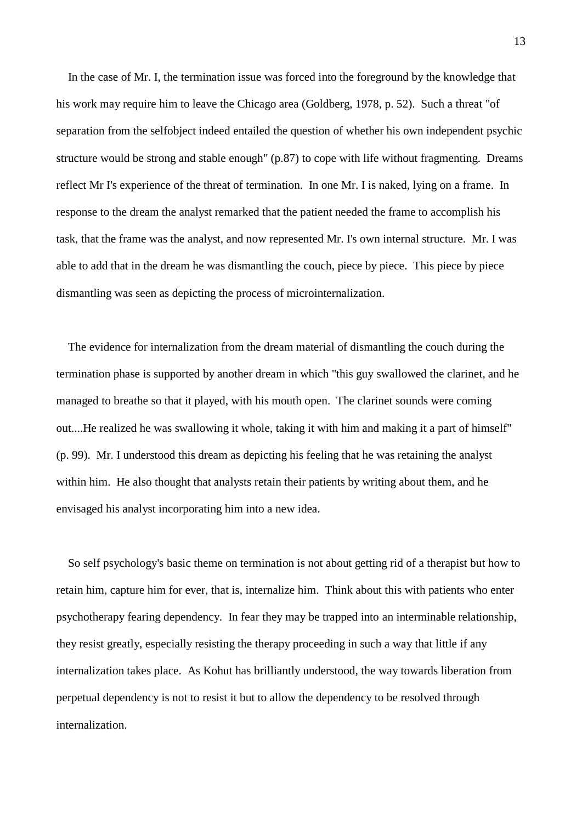In the case of Mr. I, the termination issue was forced into the foreground by the knowledge that his work may require him to leave the Chicago area (Goldberg, 1978, p. 52). Such a threat "of separation from the selfobject indeed entailed the question of whether his own independent psychic structure would be strong and stable enough" (p.87) to cope with life without fragmenting. Dreams reflect Mr I's experience of the threat of termination. In one Mr. I is naked, lying on a frame. In response to the dream the analyst remarked that the patient needed the frame to accomplish his task, that the frame was the analyst, and now represented Mr. I's own internal structure. Mr. I was able to add that in the dream he was dismantling the couch, piece by piece. This piece by piece dismantling was seen as depicting the process of microinternalization.

 The evidence for internalization from the dream material of dismantling the couch during the termination phase is supported by another dream in which "this guy swallowed the clarinet, and he managed to breathe so that it played, with his mouth open. The clarinet sounds were coming out....He realized he was swallowing it whole, taking it with him and making it a part of himself" (p. 99). Mr. I understood this dream as depicting his feeling that he was retaining the analyst within him. He also thought that analysts retain their patients by writing about them, and he envisaged his analyst incorporating him into a new idea.

 So self psychology's basic theme on termination is not about getting rid of a therapist but how to retain him, capture him for ever, that is, internalize him. Think about this with patients who enter psychotherapy fearing dependency. In fear they may be trapped into an interminable relationship, they resist greatly, especially resisting the therapy proceeding in such a way that little if any internalization takes place. As Kohut has brilliantly understood, the way towards liberation from perpetual dependency is not to resist it but to allow the dependency to be resolved through internalization.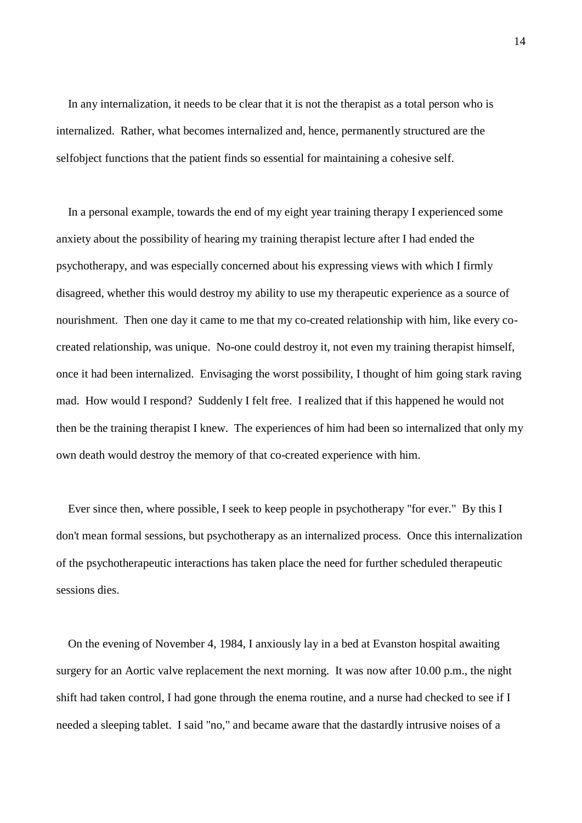In any internalization, it needs to be clear that it is not the therapist as a total person who is internalized. Rather, what becomes internalized and, hence, permanently structured are the selfobject functions that the patient finds so essential for maintaining a cohesive self.

 In a personal example, towards the end of my eight year training therapy I experienced some anxiety about the possibility of hearing my training therapist lecture after I had ended the psychotherapy, and was especially concerned about his expressing views with which I firmly disagreed, whether this would destroy my ability to use my therapeutic experience as a source of nourishment. Then one day it came to me that my co-created relationship with him, like every cocreated relationship, was unique. No-one could destroy it, not even my training therapist himself, once it had been internalized. Envisaging the worst possibility, I thought of him going stark raving mad. How would I respond? Suddenly I felt free. I realized that if this happened he would not then be the training therapist I knew. The experiences of him had been so internalized that only my own death would destroy the memory of that co-created experience with him.

 Ever since then, where possible, I seek to keep people in psychotherapy "for ever." By this I don't mean formal sessions, but psychotherapy as an internalized process. Once this internalization of the psychotherapeutic interactions has taken place the need for further scheduled therapeutic sessions dies.

 On the evening of November 4, 1984, I anxiously lay in a bed at Evanston hospital awaiting surgery for an Aortic valve replacement the next morning. It was now after 10.00 p.m., the night shift had taken control, I had gone through the enema routine, and a nurse had checked to see if I needed a sleeping tablet. I said "no," and became aware that the dastardly intrusive noises of a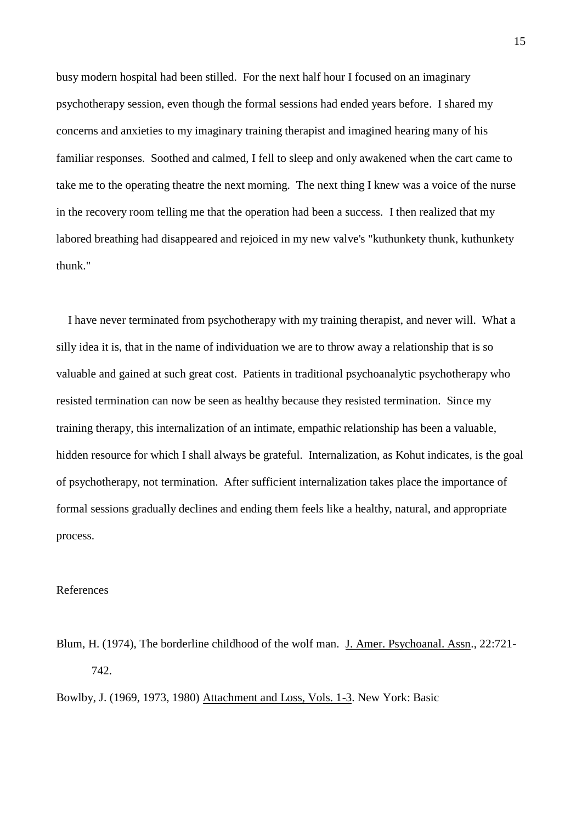busy modern hospital had been stilled. For the next half hour I focused on an imaginary psychotherapy session, even though the formal sessions had ended years before. I shared my concerns and anxieties to my imaginary training therapist and imagined hearing many of his familiar responses. Soothed and calmed, I fell to sleep and only awakened when the cart came to take me to the operating theatre the next morning. The next thing I knew was a voice of the nurse in the recovery room telling me that the operation had been a success. I then realized that my labored breathing had disappeared and rejoiced in my new valve's "kuthunkety thunk, kuthunkety thunk."

 I have never terminated from psychotherapy with my training therapist, and never will. What a silly idea it is, that in the name of individuation we are to throw away a relationship that is so valuable and gained at such great cost. Patients in traditional psychoanalytic psychotherapy who resisted termination can now be seen as healthy because they resisted termination. Since my training therapy, this internalization of an intimate, empathic relationship has been a valuable, hidden resource for which I shall always be grateful. Internalization, as Kohut indicates, is the goal of psychotherapy, not termination. After sufficient internalization takes place the importance of formal sessions gradually declines and ending them feels like a healthy, natural, and appropriate process.

## References

Blum, H. (1974), The borderline childhood of the wolf man. J. Amer. Psychoanal. Assn., 22:721-742.

Bowlby, J. (1969, 1973, 1980) Attachment and Loss, Vols. 1-3. New York: Basic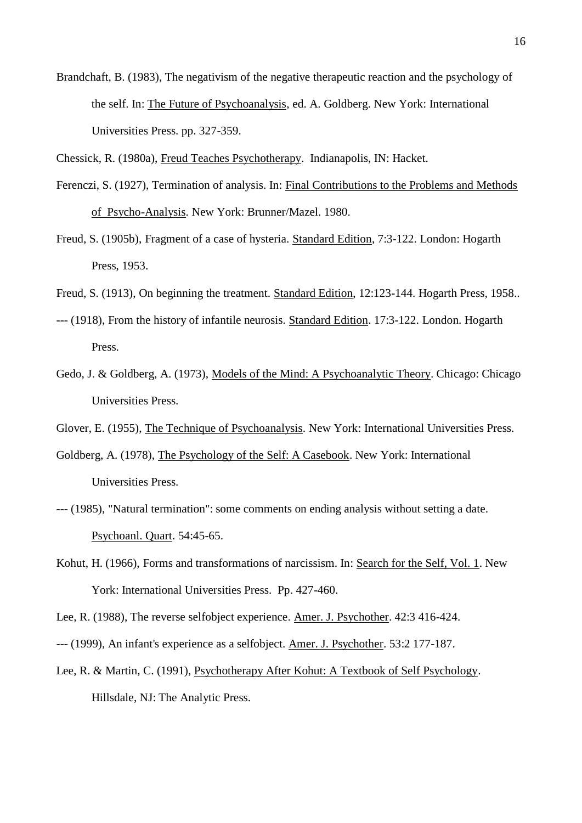Brandchaft, B. (1983), The negativism of the negative therapeutic reaction and the psychology of the self. In: The Future of Psychoanalysis, ed. A. Goldberg. New York: International Universities Press. pp. 327-359.

Chessick, R. (1980a), Freud Teaches Psychotherapy. Indianapolis, IN: Hacket.

- Ferenczi, S. (1927), Termination of analysis. In: Final Contributions to the Problems and Methods of Psycho-Analysis. New York: Brunner/Mazel. 1980.
- Freud, S. (1905b), Fragment of a case of hysteria. Standard Edition, 7:3-122. London: Hogarth Press, 1953.
- Freud, S. (1913), On beginning the treatment. Standard Edition, 12:123-144. Hogarth Press, 1958..
- --- (1918), From the history of infantile neurosis. Standard Edition. 17:3-122. London. Hogarth Press.
- Gedo, J. & Goldberg, A. (1973), Models of the Mind: A Psychoanalytic Theory. Chicago: Chicago Universities Press.
- Glover, E. (1955), The Technique of Psychoanalysis. New York: International Universities Press.
- Goldberg, A. (1978), The Psychology of the Self: A Casebook. New York: International Universities Press.
- --- (1985), "Natural termination": some comments on ending analysis without setting a date. Psychoanl. Quart. 54:45-65.
- Kohut, H. (1966), Forms and transformations of narcissism. In: Search for the Self, Vol. 1. New York: International Universities Press. Pp. 427-460.
- Lee, R. (1988), The reverse selfobject experience. Amer. J. Psychother. 42:3 416-424.
- --- (1999), An infant's experience as a selfobject. Amer. J. Psychother. 53:2 177-187.
- Lee, R. & Martin, C. (1991), Psychotherapy After Kohut: A Textbook of Self Psychology. Hillsdale, NJ: The Analytic Press.